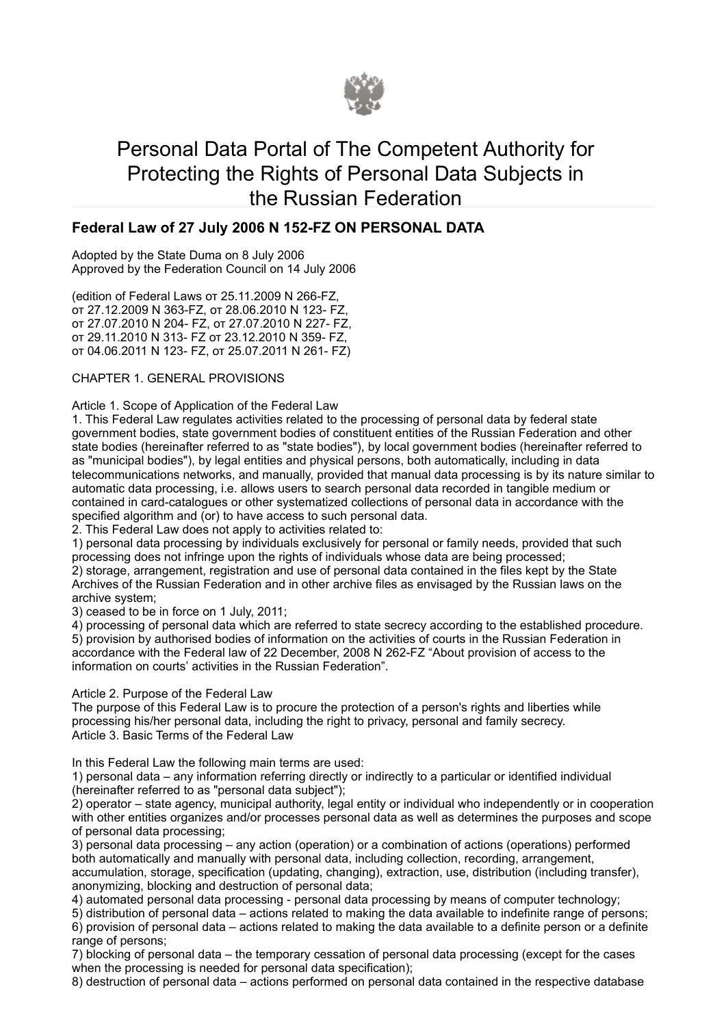

# Personal Data Portal of The Competent Authority for Protecting the Rights of Personal Data Subjects in the Russian Federation

# Federal Law of 27 July 2006 N 152-FZ ON PERSONAL DATA

Adopted by the State Duma on 8 July 2006 Approved by the Federation Council on 14 July 2006

(edition of Federal Laws от 25.11.2009 N 266-FZ, от 27.12.2009 N 363-FZ, от 28.06.2010 N 123- FZ, от 27.07.2010 N 204- FZ, от 27.07.2010 N 227- FZ, от 29.11.2010 N 313- FZ от 23.12.2010 N 359- FZ, от 04.06.2011 N 123- FZ, от 25.07.2011 N 261- FZ)

### CHAPTER 1. GENERAL PROVISIONS

Article 1. Scope of Application of the Federal Law

1. This Federal Law regulates activities related to the processing of personal data by federal state government bodies, state government bodies of constituent entities of the Russian Federation and other state bodies (hereinafter referred to as "state bodies"), by local government bodies (hereinafter referred to as "municipal bodies"), by legal entities and physical persons, both automatically, including in data telecommunications networks, and manually, provided that manual data processing is by its nature similar to automatic data processing, i.e. allows users to search personal data recorded in tangible medium or contained in card-catalogues or other systematized collections of personal data in accordance with the specified algorithm and (or) to have access to such personal data.

2. This Federal Law does not apply to activities related to:

1) personal data processing by individuals exclusively for personal or family needs, provided that such processing does not infringe upon the rights of individuals whose data are being processed; 2) storage, arrangement, registration and use of personal data contained in the files kept by the State Archives of the Russian Federation and in other archive files as envisaged by the Russian laws on the archive system;

3) ceased to be in force on 1 July, 2011;

4) processing of personal data which are referred to state secrecy according to the established procedure. 5) provision by authorised bodies of information on the activities of courts in the Russian Federation in accordance with the Federal law of 22 December, 2008 N 262-FZ "About provision of access to the information on courts' activities in the Russian Federation".

Article 2. Purpose of the Federal Law

The purpose of this Federal Law is to procure the protection of a person's rights and liberties while processing his/her personal data, including the right to privacy, personal and family secrecy. Article 3. Basic Terms of the Federal Law

In this Federal Law the following main terms are used:

1) personal data – any information referring directly or indirectly to a particular or identified individual (hereinafter referred to as "personal data subject");

2) operator – state agency, municipal authority, legal entity or individual who independently or in cooperation with other entities organizes and/or processes personal data as well as determines the purposes and scope of personal data processing;

3) personal data processing – any action (operation) or a combination of actions (operations) performed both automatically and manually with personal data, including collection, recording, arrangement, accumulation, storage, specification (updating, changing), extraction, use, distribution (including transfer), anonymizing, blocking and destruction of personal data;

4) automated personal data processing - personal data processing by means of computer technology;

5) distribution of personal data – actions related to making the data available to indefinite range of persons; 6) provision of personal data – actions related to making the data available to a definite person or a definite range of persons;

7) blocking of personal data – the temporary cessation of personal data processing (except for the cases when the processing is needed for personal data specification);

8) destruction of personal data – actions performed on personal data contained in the respective database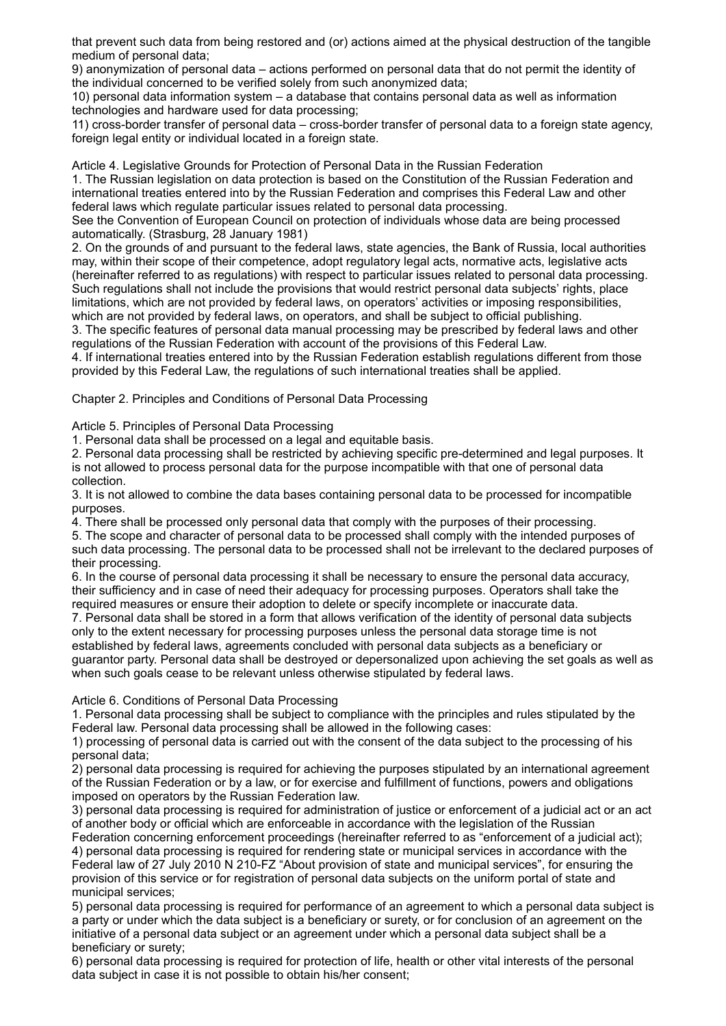that prevent such data from being restored and (or) actions aimed at the physical destruction of the tangible medium of personal data;

9) anonymization of personal data – actions performed on personal data that do not permit the identity of the individual concerned to be verified solely from such anonymized data;

10) personal data information system – a database that contains personal data as well as information technologies and hardware used for data processing;

11) cross-border transfer of personal data – cross-border transfer of personal data to a foreign state agency, foreign legal entity or individual located in a foreign state.

Article 4. Legislative Grounds for Protection of Personal Data in the Russian Federation

1. The Russian legislation on data protection is based on the Constitution of the Russian Federation and international treaties entered into by the Russian Federation and comprises this Federal Law and other federal laws which regulate particular issues related to personal data processing.

See the Convention of European Council on protection of individuals whose data are being processed automatically. (Strasburg, 28 January 1981)

2. On the grounds of and pursuant to the federal laws, state agencies, the Bank of Russia, local authorities may, within their scope of their competence, adopt regulatory legal acts, normative acts, legislative acts (hereinafter referred to as regulations) with respect to particular issues related to personal data processing. Such regulations shall not include the provisions that would restrict personal data subjects' rights, place limitations, which are not provided by federal laws, on operators' activities or imposing responsibilities, which are not provided by federal laws, on operators, and shall be subject to official publishing.

3. The specific features of personal data manual processing may be prescribed by federal laws and other regulations of the Russian Federation with account of the provisions of this Federal Law.

4. If international treaties entered into by the Russian Federation establish regulations different from those provided by this Federal Law, the regulations of such international treaties shall be applied.

Chapter 2. Principles and Conditions of Personal Data Processing

Article 5. Principles of Personal Data Processing

1. Personal data shall be processed on a legal and equitable basis.

2. Personal data processing shall be restricted by achieving specific pre-determined and legal purposes. It is not allowed to process personal data for the purpose incompatible with that one of personal data collection.

3. It is not allowed to combine the data bases containing personal data to be processed for incompatible purposes.

4. There shall be processed only personal data that comply with the purposes of their processing.

5. The scope and character of personal data to be processed shall comply with the intended purposes of such data processing. The personal data to be processed shall not be irrelevant to the declared purposes of their processing.

6. In the course of personal data processing it shall be necessary to ensure the personal data accuracy, their sufficiency and in case of need their adequacy for processing purposes. Operators shall take the required measures or ensure their adoption to delete or specify incomplete or inaccurate data.

7. Personal data shall be stored in a form that allows verification of the identity of personal data subjects only to the extent necessary for processing purposes unless the personal data storage time is not established by federal laws, agreements concluded with personal data subjects as a beneficiary or guarantor party. Personal data shall be destroyed or depersonalized upon achieving the set goals as well as when such goals cease to be relevant unless otherwise stipulated by federal laws.

Article 6. Conditions of Personal Data Processing

1. Personal data processing shall be subject to compliance with the principles and rules stipulated by the Federal law. Personal data processing shall be allowed in the following cases:

1) processing of personal data is carried out with the consent of the data subject to the processing of his personal data;

2) personal data processing is required for achieving the purposes stipulated by an international agreement of the Russian Federation or by a law, or for exercise and fulfillment of functions, powers and obligations imposed on operators by the Russian Federation law.

3) personal data processing is required for administration of justice or enforcement of a judicial act or an act of another body or official which are enforceable in accordance with the legislation of the Russian

Federation concerning enforcement proceedings (hereinafter referred to as "enforcement of a judicial act); 4) personal data processing is required for rendering state or municipal services in accordance with the Federal law of 27 July 2010 N 210-FZ "About provision of state and municipal services", for ensuring the provision of this service or for registration of personal data subjects on the uniform portal of state and municipal services;

5) personal data processing is required for performance of an agreement to which a personal data subject is a party or under which the data subject is a beneficiary or surety, or for conclusion of an agreement on the initiative of a personal data subject or an agreement under which a personal data subject shall be a beneficiary or surety;

6) personal data processing is required for protection of life, health or other vital interests of the personal data subject in case it is not possible to obtain his/her consent;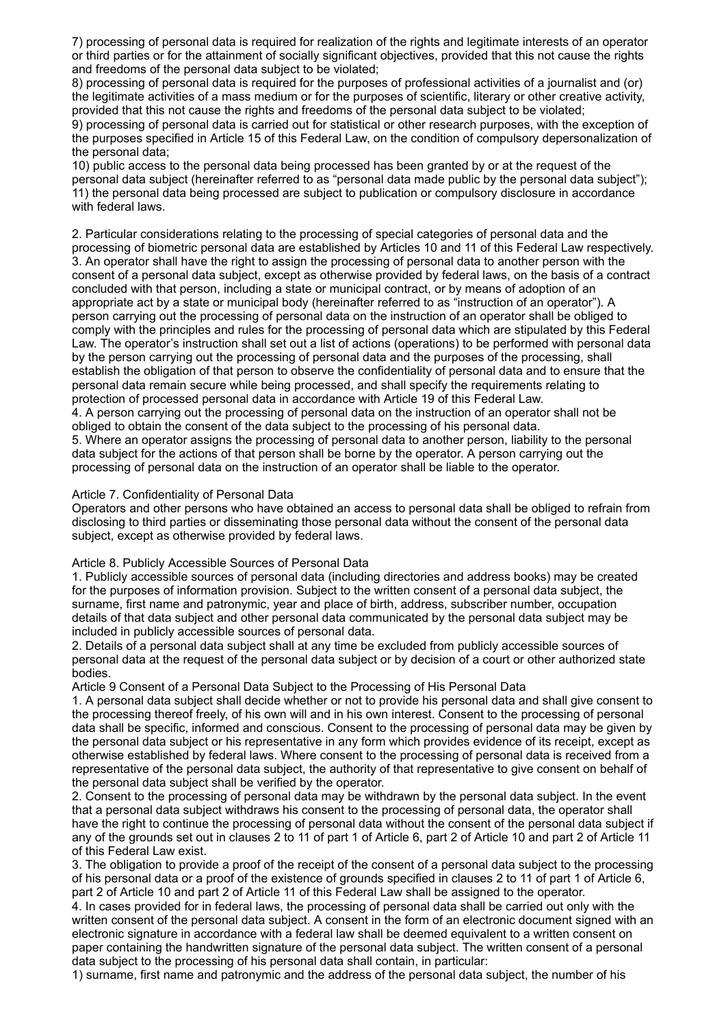7) processing of personal data is required for realization of the rights and legitimate interests of an operator or third parties or for the attainment of socially significant objectives, provided that this not cause the rights and freedoms of the personal data subject to be violated;

8) processing of personal data is required for the purposes of professional activities of a journalist and (or) the legitimate activities of a mass medium or for the purposes of scientific, literary or other creative activity, provided that this not cause the rights and freedoms of the personal data subject to be violated;

9) processing of personal data is carried out for statistical or other research purposes, with the exception of the purposes specified in Article 15 of this Federal Law, on the condition of compulsory depersonalization of the personal data;

10) public access to the personal data being processed has been granted by or at the request of the personal data subject (hereinafter referred to as "personal data made public by the personal data subject"); 11) the personal data being processed are subject to publication or compulsory disclosure in accordance with federal laws.

2. Particular considerations relating to the processing of special categories of personal data and the processing of biometric personal data are established by Articles 10 and 11 of this Federal Law respectively. 3. An operator shall have the right to assign the processing of personal data to another person with the consent of a personal data subject, except as otherwise provided by federal laws, on the basis of a contract concluded with that person, including a state or municipal contract, or by means of adoption of an appropriate act by a state or municipal body (hereinafter referred to as "instruction of an operator"). A person carrying out the processing of personal data on the instruction of an operator shall be obliged to comply with the principles and rules for the processing of personal data which are stipulated by this Federal Law. The operator's instruction shall set out a list of actions (operations) to be performed with personal data by the person carrying out the processing of personal data and the purposes of the processing, shall establish the obligation of that person to observe the confidentiality of personal data and to ensure that the personal data remain secure while being processed, and shall specify the requirements relating to protection of processed personal data in accordance with Article 19 of this Federal Law. 4. A person carrying out the processing of personal data on the instruction of an operator shall not be obliged to obtain the consent of the data subject to the processing of his personal data. 5. Where an operator assigns the processing of personal data to another person, liability to the personal data subject for the actions of that person shall be borne by the operator. A person carrying out the processing of personal data on the instruction of an operator shall be liable to the operator.

#### Article 7. Confidentiality of Personal Data

Operators and other persons who have obtained an access to personal data shall be obliged to refrain from disclosing to third parties or disseminating those personal data without the consent of the personal data subject, except as otherwise provided by federal laws.

#### Article 8. Publicly Accessible Sources of Personal Data

1. Publicly accessible sources of personal data (including directories and address books) may be created for the purposes of information provision. Subject to the written consent of a personal data subject, the surname, first name and patronymic, year and place of birth, address, subscriber number, occupation details of that data subject and other personal data communicated by the personal data subject may be included in publicly accessible sources of personal data.

2. Details of a personal data subject shall at any time be excluded from publicly accessible sources of personal data at the request of the personal data subject or by decision of a court or other authorized state bodies.

Article 9 Consent of a Personal Data Subject to the Processing of His Personal Data

1. A personal data subject shall decide whether or not to provide his personal data and shall give consent to the processing thereof freely, of his own will and in his own interest. Consent to the processing of personal data shall be specific, informed and conscious. Consent to the processing of personal data may be given by the personal data subject or his representative in any form which provides evidence of its receipt, except as otherwise established by federal laws. Where consent to the processing of personal data is received from a representative of the personal data subject, the authority of that representative to give consent on behalf of the personal data subject shall be verified by the operator.

2. Consent to the processing of personal data may be withdrawn by the personal data subject. In the event that a personal data subject withdraws his consent to the processing of personal data, the operator shall have the right to continue the processing of personal data without the consent of the personal data subject if any of the grounds set out in clauses 2 to 11 of part 1 of Article 6, part 2 of Article 10 and part 2 of Article 11 of this Federal Law exist.

3. The obligation to provide a proof of the receipt of the consent of a personal data subject to the processing of his personal data or a proof of the existence of grounds specified in clauses 2 to 11 of part 1 of Article 6, part 2 of Article 10 and part 2 of Article 11 of this Federal Law shall be assigned to the operator.

4. In cases provided for in federal laws, the processing of personal data shall be carried out only with the written consent of the personal data subject. A consent in the form of an electronic document signed with an electronic signature in accordance with a federal law shall be deemed equivalent to a written consent on paper containing the handwritten signature of the personal data subject. The written consent of a personal data subject to the processing of his personal data shall contain, in particular:

1) surname, first name and patronymic and the address of the personal data subject, the number of his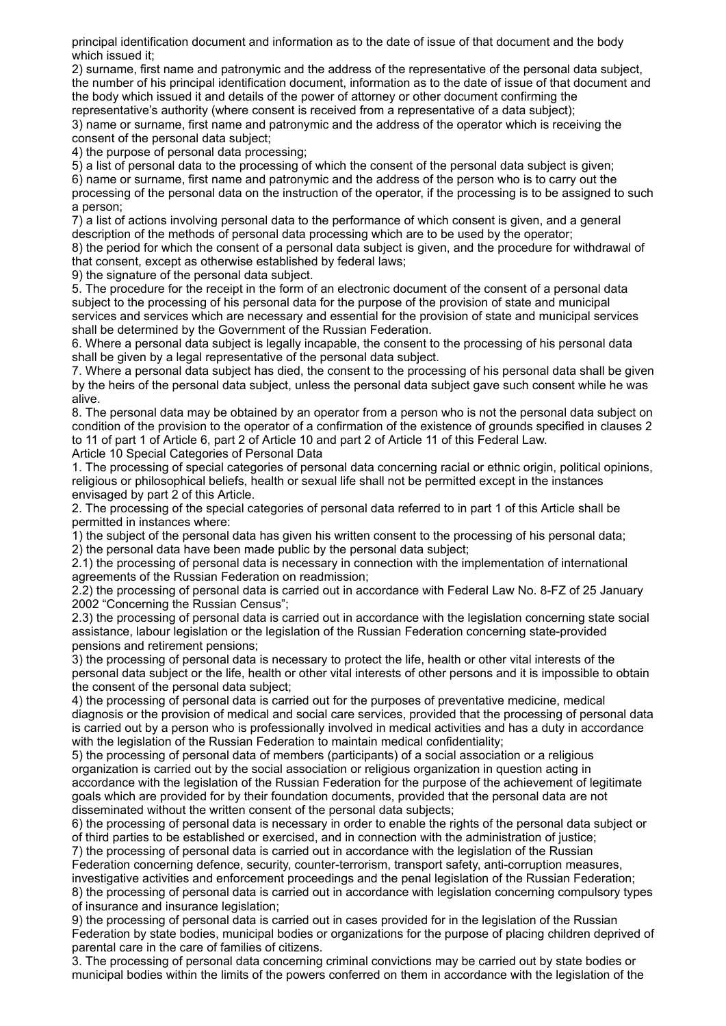principal identification document and information as to the date of issue of that document and the body which issued it;

2) surname, first name and patronymic and the address of the representative of the personal data subject, the number of his principal identification document, information as to the date of issue of that document and the body which issued it and details of the power of attorney or other document confirming the representative's authority (where consent is received from a representative of a data subject);

3) name or surname, first name and patronymic and the address of the operator which is receiving the consent of the personal data subject;

4) the purpose of personal data processing;

5) a list of personal data to the processing of which the consent of the personal data subject is given; 6) name or surname, first name and patronymic and the address of the person who is to carry out the processing of the personal data on the instruction of the operator, if the processing is to be assigned to such a person;

7) a list of actions involving personal data to the performance of which consent is given, and a general description of the methods of personal data processing which are to be used by the operator;

8) the period for which the consent of a personal data subject is given, and the procedure for withdrawal of that consent, except as otherwise established by federal laws;

9) the signature of the personal data subject.

5. The procedure for the receipt in the form of an electronic document of the consent of a personal data subject to the processing of his personal data for the purpose of the provision of state and municipal services and services which are necessary and essential for the provision of state and municipal services shall be determined by the Government of the Russian Federation.

6. Where a personal data subject is legally incapable, the consent to the processing of his personal data shall be given by a legal representative of the personal data subject.

7. Where a personal data subject has died, the consent to the processing of his personal data shall be given by the heirs of the personal data subject, unless the personal data subject gave such consent while he was alive.

8. The personal data may be obtained by an operator from a person who is not the personal data subject on condition of the provision to the operator of a confirmation of the existence of grounds specified in clauses 2 to 11 of part 1 of Article 6, part 2 of Article 10 and part 2 of Article 11 of this Federal Law.

Article 10 Special Categories of Personal Data

1. The processing of special categories of personal data concerning racial or ethnic origin, political opinions, religious or philosophical beliefs, health or sexual life shall not be permitted except in the instances envisaged by part 2 of this Article.

2. The processing of the special categories of personal data referred to in part 1 of this Article shall be permitted in instances where:

1) the subject of the personal data has given his written consent to the processing of his personal data; 2) the personal data have been made public by the personal data subject;

2.1) the processing of personal data is necessary in connection with the implementation of international agreements of the Russian Federation on readmission;

2.2) the processing of personal data is carried out in accordance with Federal Law No. 8-FZ of 25 January 2002 "Concerning the Russian Census";

2.3) the processing of personal data is carried out in accordance with the legislation concerning state social assistance, labour legislation or the legislation of the Russian Federation concerning state-provided pensions and retirement pensions;

3) the processing of personal data is necessary to protect the life, health or other vital interests of the personal data subject or the life, health or other vital interests of other persons and it is impossible to obtain the consent of the personal data subject;

4) the processing of personal data is carried out for the purposes of preventative medicine, medical diagnosis or the provision of medical and social care services, provided that the processing of personal data is carried out by a person who is professionally involved in medical activities and has a duty in accordance with the legislation of the Russian Federation to maintain medical confidentiality:

5) the processing of personal data of members (participants) of a social association or a religious organization is carried out by the social association or religious organization in question acting in accordance with the legislation of the Russian Federation for the purpose of the achievement of legitimate goals which are provided for by their foundation documents, provided that the personal data are not disseminated without the written consent of the personal data subjects;

6) the processing of personal data is necessary in order to enable the rights of the personal data subject or of third parties to be established or exercised, and in connection with the administration of justice; 7) the processing of personal data is carried out in accordance with the legislation of the Russian

Federation concerning defence, security, counter-terrorism, transport safety, anti-corruption measures,

investigative activities and enforcement proceedings and the penal legislation of the Russian Federation; 8) the processing of personal data is carried out in accordance with legislation concerning compulsory types of insurance and insurance legislation;

9) the processing of personal data is carried out in cases provided for in the legislation of the Russian Federation by state bodies, municipal bodies or organizations for the purpose of placing children deprived of parental care in the care of families of citizens.

3. The processing of personal data concerning criminal convictions may be carried out by state bodies or municipal bodies within the limits of the powers conferred on them in accordance with the legislation of the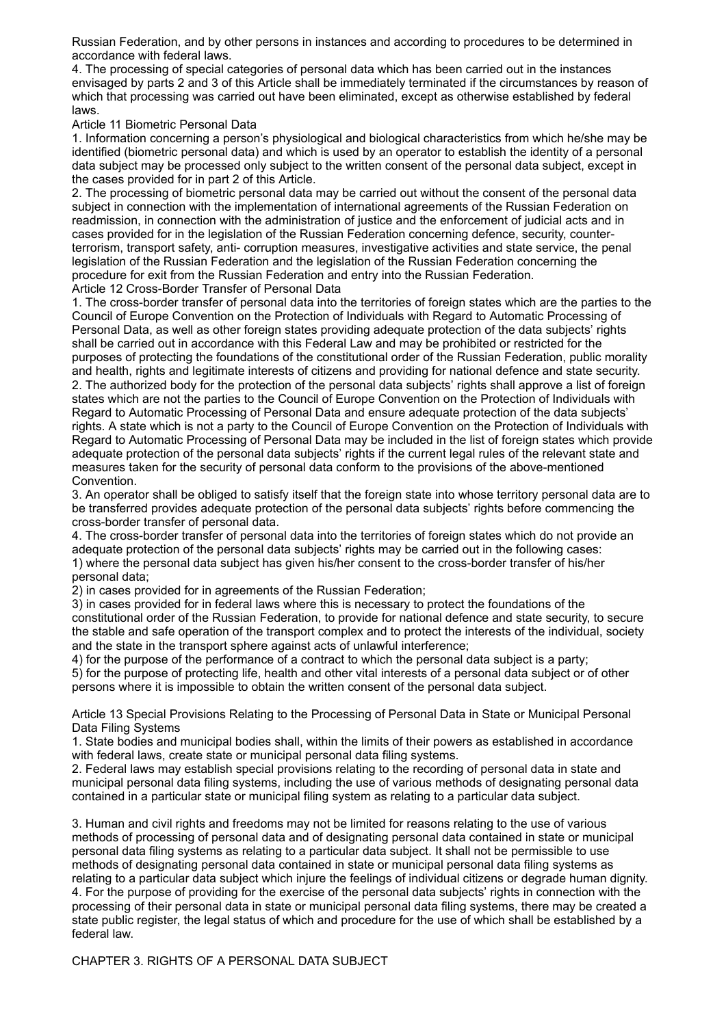Russian Federation, and by other persons in instances and according to procedures to be determined in accordance with federal laws.

4. The processing of special categories of personal data which has been carried out in the instances envisaged by parts 2 and 3 of this Article shall be immediately terminated if the circumstances by reason of which that processing was carried out have been eliminated, except as otherwise established by federal laws.

Article 11 Biometric Personal Data

1. Information concerning a person's physiological and biological characteristics from which he/she may be identified (biometric personal data) and which is used by an operator to establish the identity of a personal data subject may be processed only subject to the written consent of the personal data subject, except in the cases provided for in part 2 of this Article.

2. The processing of biometric personal data may be carried out without the consent of the personal data subject in connection with the implementation of international agreements of the Russian Federation on readmission, in connection with the administration of justice and the enforcement of judicial acts and in cases provided for in the legislation of the Russian Federation concerning defence, security, counterterrorism, transport safety, anti- corruption measures, investigative activities and state service, the penal legislation of the Russian Federation and the legislation of the Russian Federation concerning the procedure for exit from the Russian Federation and entry into the Russian Federation. Article 12 Cross-Border Transfer of Personal Data

1. The cross-border transfer of personal data into the territories of foreign states which are the parties to the Council of Europe Convention on the Protection of Individuals with Regard to Automatic Processing of Personal Data, as well as other foreign states providing adequate protection of the data subjects' rights shall be carried out in accordance with this Federal Law and may be prohibited or restricted for the purposes of protecting the foundations of the constitutional order of the Russian Federation, public morality and health, rights and legitimate interests of citizens and providing for national defence and state security. 2. The authorized body for the protection of the personal data subjects' rights shall approve a list of foreign states which are not the parties to the Council of Europe Convention on the Protection of Individuals with Regard to Automatic Processing of Personal Data and ensure adequate protection of the data subjects' rights. A state which is not a party to the Council of Europe Convention on the Protection of Individuals with Regard to Automatic Processing of Personal Data may be included in the list of foreign states which provide adequate protection of the personal data subjects' rights if the current legal rules of the relevant state and measures taken for the security of personal data conform to the provisions of the above-mentioned Convention.

3. An operator shall be obliged to satisfy itself that the foreign state into whose territory personal data are to be transferred provides adequate protection of the personal data subjects' rights before commencing the cross-border transfer of personal data.

4. The cross-border transfer of personal data into the territories of foreign states which do not provide an adequate protection of the personal data subjects' rights may be carried out in the following cases: 1) where the personal data subject has given his/her consent to the cross-border transfer of his/her personal data;

2) in cases provided for in agreements of the Russian Federation;

3) in cases provided for in federal laws where this is necessary to protect the foundations of the constitutional order of the Russian Federation, to provide for national defence and state security, to secure the stable and safe operation of the transport complex and to protect the interests of the individual, society and the state in the transport sphere against acts of unlawful interference;

4) for the purpose of the performance of a contract to which the personal data subject is a party; 5) for the purpose of protecting life, health and other vital interests of a personal data subject or of other persons where it is impossible to obtain the written consent of the personal data subject.

Article 13 Special Provisions Relating to the Processing of Personal Data in State or Municipal Personal Data Filing Systems

1. State bodies and municipal bodies shall, within the limits of their powers as established in accordance with federal laws, create state or municipal personal data filing systems.

2. Federal laws may establish special provisions relating to the recording of personal data in state and municipal personal data filing systems, including the use of various methods of designating personal data contained in a particular state or municipal filing system as relating to a particular data subject.

3. Human and civil rights and freedoms may not be limited for reasons relating to the use of various methods of processing of personal data and of designating personal data contained in state or municipal personal data filing systems as relating to a particular data subject. It shall not be permissible to use methods of designating personal data contained in state or municipal personal data filing systems as relating to a particular data subject which injure the feelings of individual citizens or degrade human dignity. 4. For the purpose of providing for the exercise of the personal data subjects' rights in connection with the processing of their personal data in state or municipal personal data filing systems, there may be created a state public register, the legal status of which and procedure for the use of which shall be established by a federal law.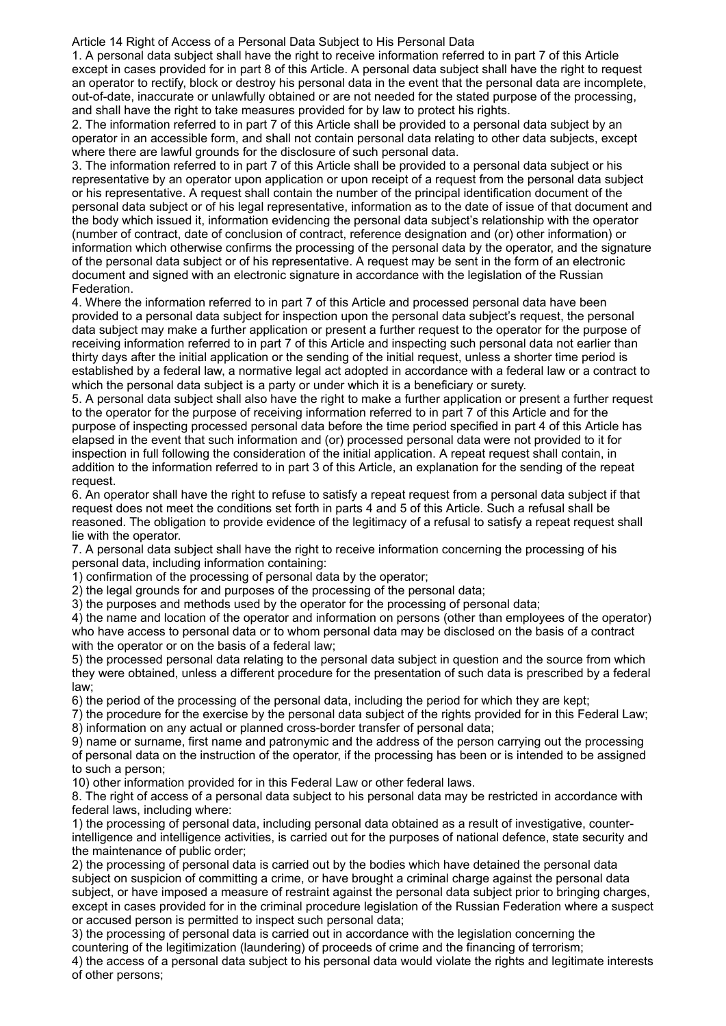Article 14 Right of Access of a Personal Data Subject to His Personal Data

1. A personal data subject shall have the right to receive information referred to in part 7 of this Article except in cases provided for in part 8 of this Article. A personal data subject shall have the right to request an operator to rectify, block or destroy his personal data in the event that the personal data are incomplete, out-of-date, inaccurate or unlawfully obtained or are not needed for the stated purpose of the processing, and shall have the right to take measures provided for by law to protect his rights.

2. The information referred to in part 7 of this Article shall be provided to a personal data subject by an operator in an accessible form, and shall not contain personal data relating to other data subjects, except where there are lawful grounds for the disclosure of such personal data.

3. The information referred to in part 7 of this Article shall be provided to a personal data subject or his representative by an operator upon application or upon receipt of a request from the personal data subject or his representative. A request shall contain the number of the principal identification document of the personal data subject or of his legal representative, information as to the date of issue of that document and the body which issued it, information evidencing the personal data subject's relationship with the operator (number of contract, date of conclusion of contract, reference designation and (or) other information) or information which otherwise confirms the processing of the personal data by the operator, and the signature of the personal data subject or of his representative. A request may be sent in the form of an electronic document and signed with an electronic signature in accordance with the legislation of the Russian Federation.

4. Where the information referred to in part 7 of this Article and processed personal data have been provided to a personal data subject for inspection upon the personal data subject's request, the personal data subject may make a further application or present a further request to the operator for the purpose of receiving information referred to in part 7 of this Article and inspecting such personal data not earlier than thirty days after the initial application or the sending of the initial request, unless a shorter time period is established by a federal law, a normative legal act adopted in accordance with a federal law or a contract to which the personal data subject is a party or under which it is a beneficiary or surety.

5. A personal data subject shall also have the right to make a further application or present a further request to the operator for the purpose of receiving information referred to in part 7 of this Article and for the purpose of inspecting processed personal data before the time period specified in part 4 of this Article has elapsed in the event that such information and (or) processed personal data were not provided to it for inspection in full following the consideration of the initial application. A repeat request shall contain, in addition to the information referred to in part 3 of this Article, an explanation for the sending of the repeat request.

6. An operator shall have the right to refuse to satisfy a repeat request from a personal data subject if that request does not meet the conditions set forth in parts 4 and 5 of this Article. Such a refusal shall be reasoned. The obligation to provide evidence of the legitimacy of a refusal to satisfy a repeat request shall lie with the operator.

7. A personal data subject shall have the right to receive information concerning the processing of his personal data, including information containing:

1) confirmation of the processing of personal data by the operator;

2) the legal grounds for and purposes of the processing of the personal data;

3) the purposes and methods used by the operator for the processing of personal data;

4) the name and location of the operator and information on persons (other than employees of the operator) who have access to personal data or to whom personal data may be disclosed on the basis of a contract with the operator or on the basis of a federal law;

5) the processed personal data relating to the personal data subject in question and the source from which they were obtained, unless a different procedure for the presentation of such data is prescribed by a federal law;

6) the period of the processing of the personal data, including the period for which they are kept;

7) the procedure for the exercise by the personal data subject of the rights provided for in this Federal Law; 8) information on any actual or planned cross-border transfer of personal data;

9) name or surname, first name and patronymic and the address of the person carrying out the processing of personal data on the instruction of the operator, if the processing has been or is intended to be assigned to such a person;

10) other information provided for in this Federal Law or other federal laws.

8. The right of access of a personal data subject to his personal data may be restricted in accordance with federal laws, including where:

1) the processing of personal data, including personal data obtained as a result of investigative, counterintelligence and intelligence activities, is carried out for the purposes of national defence, state security and the maintenance of public order;

2) the processing of personal data is carried out by the bodies which have detained the personal data subject on suspicion of committing a crime, or have brought a criminal charge against the personal data subject, or have imposed a measure of restraint against the personal data subject prior to bringing charges, except in cases provided for in the criminal procedure legislation of the Russian Federation where a suspect or accused person is permitted to inspect such personal data;

3) the processing of personal data is carried out in accordance with the legislation concerning the countering of the legitimization (laundering) of proceeds of crime and the financing of terrorism;

4) the access of a personal data subject to his personal data would violate the rights and legitimate interests of other persons;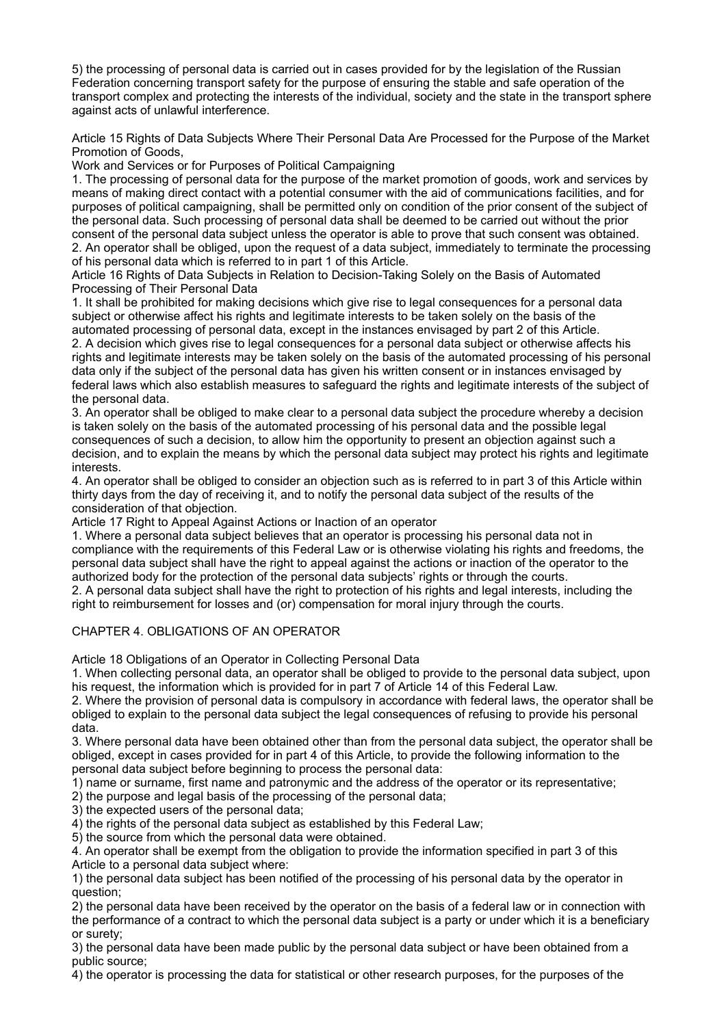5) the processing of personal data is carried out in cases provided for by the legislation of the Russian Federation concerning transport safety for the purpose of ensuring the stable and safe operation of the transport complex and protecting the interests of the individual, society and the state in the transport sphere against acts of unlawful interference.

Article 15 Rights of Data Subjects Where Their Personal Data Are Processed for the Purpose of the Market Promotion of Goods,

Work and Services or for Purposes of Political Campaigning

1. The processing of personal data for the purpose of the market promotion of goods, work and services by means of making direct contact with a potential consumer with the aid of communications facilities, and for purposes of political campaigning, shall be permitted only on condition of the prior consent of the subject of the personal data. Such processing of personal data shall be deemed to be carried out without the prior consent of the personal data subject unless the operator is able to prove that such consent was obtained. 2. An operator shall be obliged, upon the request of a data subject, immediately to terminate the processing of his personal data which is referred to in part 1 of this Article.

Article 16 Rights of Data Subjects in Relation to Decision-Taking Solely on the Basis of Automated Processing of Their Personal Data

1. It shall be prohibited for making decisions which give rise to legal consequences for a personal data subject or otherwise affect his rights and legitimate interests to be taken solely on the basis of the automated processing of personal data, except in the instances envisaged by part 2 of this Article.

2. A decision which gives rise to legal consequences for a personal data subject or otherwise affects his rights and legitimate interests may be taken solely on the basis of the automated processing of his personal data only if the subject of the personal data has given his written consent or in instances envisaged by federal laws which also establish measures to safeguard the rights and legitimate interests of the subject of the personal data.

3. An operator shall be obliged to make clear to a personal data subject the procedure whereby a decision is taken solely on the basis of the automated processing of his personal data and the possible legal consequences of such a decision, to allow him the opportunity to present an objection against such a decision, and to explain the means by which the personal data subject may protect his rights and legitimate interests.

4. An operator shall be obliged to consider an objection such as is referred to in part 3 of this Article within thirty days from the day of receiving it, and to notify the personal data subject of the results of the consideration of that objection.

Article 17 Right to Appeal Against Actions or Inaction of an operator

1. Where a personal data subject believes that an operator is processing his personal data not in compliance with the requirements of this Federal Law or is otherwise violating his rights and freedoms, the personal data subject shall have the right to appeal against the actions or inaction of the operator to the authorized body for the protection of the personal data subjects' rights or through the courts.

2. A personal data subject shall have the right to protection of his rights and legal interests, including the right to reimbursement for losses and (or) compensation for moral injury through the courts.

## CHAPTER 4. OBLIGATIONS OF AN OPERATOR

Article 18 Obligations of an Operator in Collecting Personal Data

1. When collecting personal data, an operator shall be obliged to provide to the personal data subject, upon his request, the information which is provided for in part 7 of Article 14 of this Federal Law.

2. Where the provision of personal data is compulsory in accordance with federal laws, the operator shall be obliged to explain to the personal data subject the legal consequences of refusing to provide his personal data.

3. Where personal data have been obtained other than from the personal data subject, the operator shall be obliged, except in cases provided for in part 4 of this Article, to provide the following information to the personal data subject before beginning to process the personal data:

1) name or surname, first name and patronymic and the address of the operator or its representative;

2) the purpose and legal basis of the processing of the personal data;

3) the expected users of the personal data;

4) the rights of the personal data subject as established by this Federal Law;

5) the source from which the personal data were obtained.

4. An operator shall be exempt from the obligation to provide the information specified in part 3 of this Article to a personal data subject where:

1) the personal data subject has been notified of the processing of his personal data by the operator in question;

2) the personal data have been received by the operator on the basis of a federal law or in connection with the performance of a contract to which the personal data subject is a party or under which it is a beneficiary or surety;

3) the personal data have been made public by the personal data subject or have been obtained from a public source;

4) the operator is processing the data for statistical or other research purposes, for the purposes of the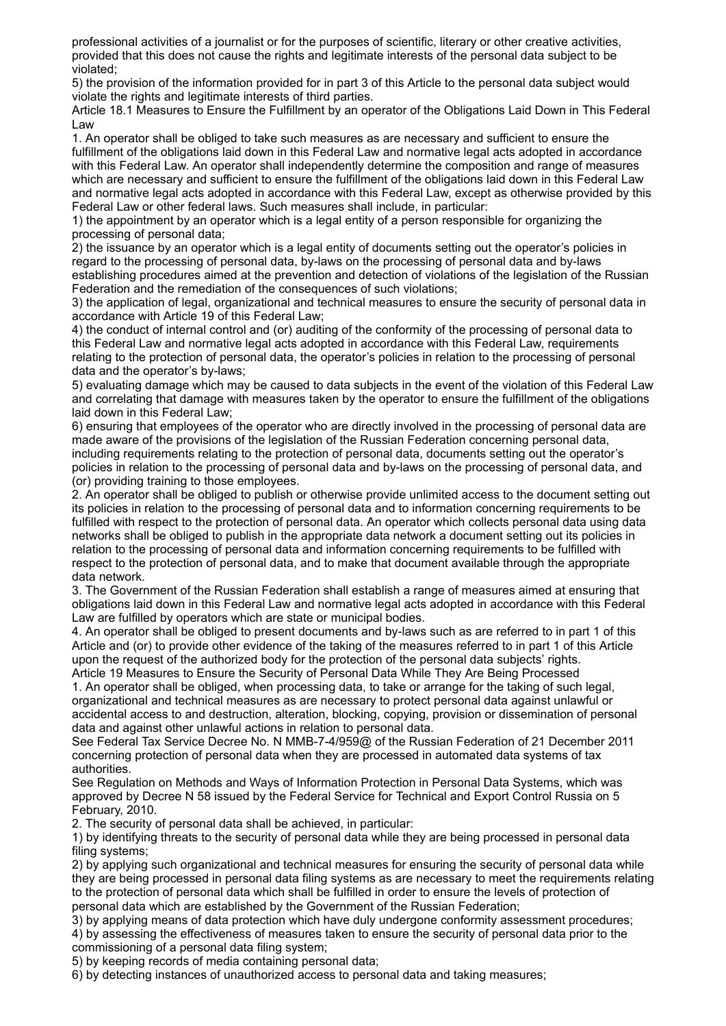professional activities of a journalist or for the purposes of scientific, literary or other creative activities, provided that this does not cause the rights and legitimate interests of the personal data subject to be violated;

5) the provision of the information provided for in part 3 of this Article to the personal data subject would violate the rights and legitimate interests of third parties.

Article 18.1 Measures to Ensure the Fulfillment by an operator of the Obligations Laid Down in This Federal Law

1. An operator shall be obliged to take such measures as are necessary and sufficient to ensure the fulfillment of the obligations laid down in this Federal Law and normative legal acts adopted in accordance with this Federal Law. An operator shall independently determine the composition and range of measures which are necessary and sufficient to ensure the fulfillment of the obligations laid down in this Federal Law and normative legal acts adopted in accordance with this Federal Law, except as otherwise provided by this Federal Law or other federal laws. Such measures shall include, in particular:

1) the appointment by an operator which is a legal entity of a person responsible for organizing the processing of personal data;

2) the issuance by an operator which is a legal entity of documents setting out the operator's policies in regard to the processing of personal data, by-laws on the processing of personal data and by-laws establishing procedures aimed at the prevention and detection of violations of the legislation of the Russian Federation and the remediation of the consequences of such violations;

3) the application of legal, organizational and technical measures to ensure the security of personal data in accordance with Article 19 of this Federal Law;

4) the conduct of internal control and (or) auditing of the conformity of the processing of personal data to this Federal Law and normative legal acts adopted in accordance with this Federal Law, requirements relating to the protection of personal data, the operator's policies in relation to the processing of personal data and the operator's by-laws;

5) evaluating damage which may be caused to data subjects in the event of the violation of this Federal Law and correlating that damage with measures taken by the operator to ensure the fulfillment of the obligations laid down in this Federal Law;

6) ensuring that employees of the operator who are directly involved in the processing of personal data are made aware of the provisions of the legislation of the Russian Federation concerning personal data, including requirements relating to the protection of personal data, documents setting out the operator's policies in relation to the processing of personal data and by-laws on the processing of personal data, and (or) providing training to those employees.

2. An operator shall be obliged to publish or otherwise provide unlimited access to the document setting out its policies in relation to the processing of personal data and to information concerning requirements to be fulfilled with respect to the protection of personal data. An operator which collects personal data using data networks shall be obliged to publish in the appropriate data network a document setting out its policies in relation to the processing of personal data and information concerning requirements to be fulfilled with respect to the protection of personal data, and to make that document available through the appropriate data network.

3. The Government of the Russian Federation shall establish a range of measures aimed at ensuring that obligations laid down in this Federal Law and normative legal acts adopted in accordance with this Federal Law are fulfilled by operators which are state or municipal bodies.

4. An operator shall be obliged to present documents and by-laws such as are referred to in part 1 of this Article and (or) to provide other evidence of the taking of the measures referred to in part 1 of this Article upon the request of the authorized body for the protection of the personal data subjects' rights.

Article 19 Measures to Ensure the Security of Personal Data While They Are Being Processed 1. An operator shall be obliged, when processing data, to take or arrange for the taking of such legal, organizational and technical measures as are necessary to protect personal data against unlawful or accidental access to and destruction, alteration, blocking, copying, provision or dissemination of personal data and against other unlawful actions in relation to personal data.

See Federal Tax Service Decree No. N ММВ-7-4/959@ of the Russian Federation of 21 December 2011 concerning protection of personal data when they are processed in automated data systems of tax authorities.

See Regulation on Methods and Ways of Information Protection in Personal Data Systems, which was approved by Decree N 58 issued by the Federal Service for Technical and Export Control Russia on 5 February, 2010.

2. The security of personal data shall be achieved, in particular:

1) by identifying threats to the security of personal data while they are being processed in personal data filing systems:

2) by applying such organizational and technical measures for ensuring the security of personal data while they are being processed in personal data filing systems as are necessary to meet the requirements relating to the protection of personal data which shall be fulfilled in order to ensure the levels of protection of personal data which are established by the Government of the Russian Federation;

3) by applying means of data protection which have duly undergone conformity assessment procedures; 4) by assessing the effectiveness of measures taken to ensure the security of personal data prior to the commissioning of a personal data filing system;

5) by keeping records of media containing personal data;

6) by detecting instances of unauthorized access to personal data and taking measures;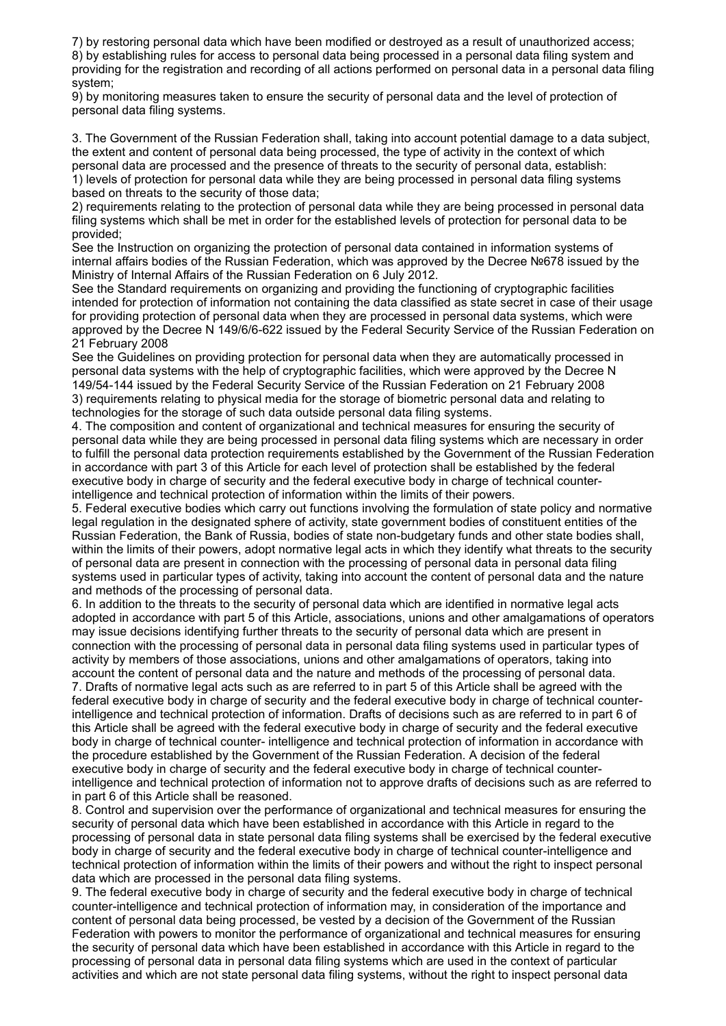7) by restoring personal data which have been modified or destroyed as a result of unauthorized access; 8) by establishing rules for access to personal data being processed in a personal data filing system and providing for the registration and recording of all actions performed on personal data in a personal data filing system;

9) by monitoring measures taken to ensure the security of personal data and the level of protection of personal data filing systems.

3. The Government of the Russian Federation shall, taking into account potential damage to a data subject, the extent and content of personal data being processed, the type of activity in the context of which personal data are processed and the presence of threats to the security of personal data, establish: 1) levels of protection for personal data while they are being processed in personal data filing systems based on threats to the security of those data;

2) requirements relating to the protection of personal data while they are being processed in personal data filing systems which shall be met in order for the established levels of protection for personal data to be provided;

See the Instruction on organizing the protection of personal data contained in information systems of internal affairs bodies of the Russian Federation, which was approved by the Decree №678 issued by the Ministry of Internal Affairs of the Russian Federation on 6 July 2012.

See the Standard requirements on organizing and providing the functioning of cryptographic facilities intended for protection of information not containing the data classified as state secret in case of their usage for providing protection of personal data when they are processed in personal data systems, which were approved by the Decree N 149/6/6-622 issued by the Federal Security Service of the Russian Federation on 21 February 2008

See the Guidelines on providing protection for personal data when they are automatically processed in personal data systems with the help of cryptographic facilities, which were approved by the Decree N 149/54-144 issued by the Federal Security Service of the Russian Federation on 21 February 2008 3) requirements relating to physical media for the storage of biometric personal data and relating to technologies for the storage of such data outside personal data filing systems.

4. The composition and content of organizational and technical measures for ensuring the security of personal data while they are being processed in personal data filing systems which are necessary in order to fulfill the personal data protection requirements established by the Government of the Russian Federation in accordance with part 3 of this Article for each level of protection shall be established by the federal executive body in charge of security and the federal executive body in charge of technical counterintelligence and technical protection of information within the limits of their powers.

5. Federal executive bodies which carry out functions involving the formulation of state policy and normative legal regulation in the designated sphere of activity, state government bodies of constituent entities of the Russian Federation, the Bank of Russia, bodies of state non-budgetary funds and other state bodies shall, within the limits of their powers, adopt normative legal acts in which they identify what threats to the security of personal data are present in connection with the processing of personal data in personal data filing systems used in particular types of activity, taking into account the content of personal data and the nature and methods of the processing of personal data.

6. In addition to the threats to the security of personal data which are identified in normative legal acts adopted in accordance with part 5 of this Article, associations, unions and other amalgamations of operators may issue decisions identifying further threats to the security of personal data which are present in connection with the processing of personal data in personal data filing systems used in particular types of activity by members of those associations, unions and other amalgamations of operators, taking into account the content of personal data and the nature and methods of the processing of personal data.

7. Drafts of normative legal acts such as are referred to in part 5 of this Article shall be agreed with the federal executive body in charge of security and the federal executive body in charge of technical counterintelligence and technical protection of information. Drafts of decisions such as are referred to in part 6 of this Article shall be agreed with the federal executive body in charge of security and the federal executive body in charge of technical counter- intelligence and technical protection of information in accordance with the procedure established by the Government of the Russian Federation. A decision of the federal executive body in charge of security and the federal executive body in charge of technical counterintelligence and technical protection of information not to approve drafts of decisions such as are referred to in part 6 of this Article shall be reasoned.

8. Control and supervision over the performance of organizational and technical measures for ensuring the security of personal data which have been established in accordance with this Article in regard to the processing of personal data in state personal data filing systems shall be exercised by the federal executive body in charge of security and the federal executive body in charge of technical counter-intelligence and technical protection of information within the limits of their powers and without the right to inspect personal data which are processed in the personal data filing systems.

9. The federal executive body in charge of security and the federal executive body in charge of technical counter-intelligence and technical protection of information may, in consideration of the importance and content of personal data being processed, be vested by a decision of the Government of the Russian Federation with powers to monitor the performance of organizational and technical measures for ensuring the security of personal data which have been established in accordance with this Article in regard to the processing of personal data in personal data filing systems which are used in the context of particular activities and which are not state personal data filing systems, without the right to inspect personal data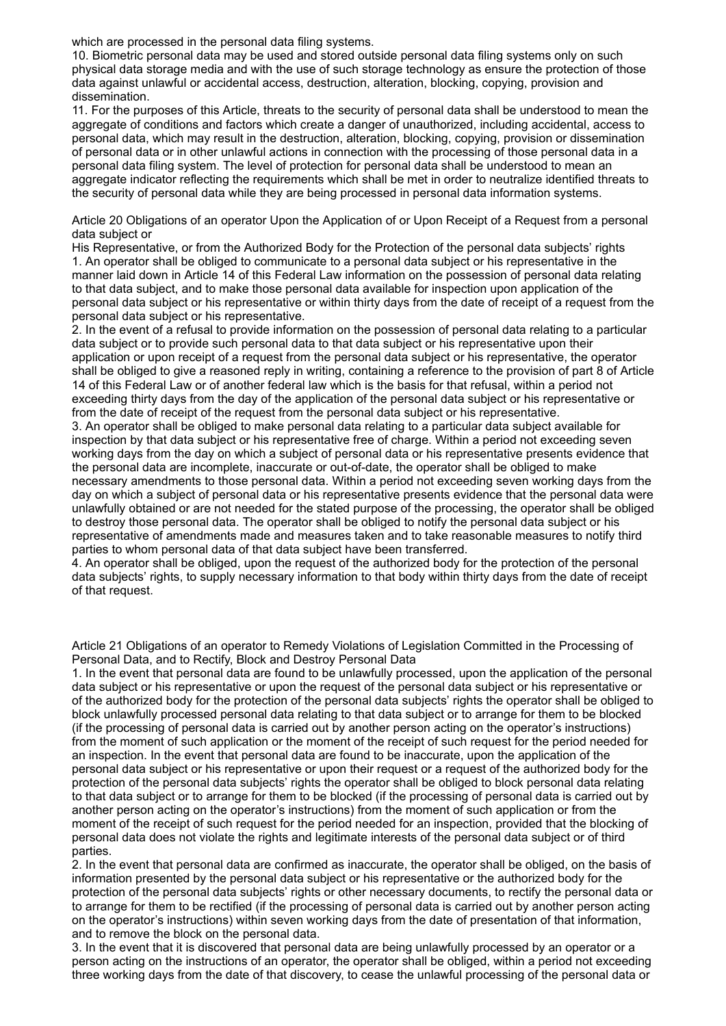which are processed in the personal data filing systems.

10. Biometric personal data may be used and stored outside personal data filing systems only on such physical data storage media and with the use of such storage technology as ensure the protection of those data against unlawful or accidental access, destruction, alteration, blocking, copying, provision and dissemination.

11. For the purposes of this Article, threats to the security of personal data shall be understood to mean the aggregate of conditions and factors which create a danger of unauthorized, including accidental, access to personal data, which may result in the destruction, alteration, blocking, copying, provision or dissemination of personal data or in other unlawful actions in connection with the processing of those personal data in a personal data filing system. The level of protection for personal data shall be understood to mean an aggregate indicator reflecting the requirements which shall be met in order to neutralize identified threats to the security of personal data while they are being processed in personal data information systems.

Article 20 Obligations of an operator Upon the Application of or Upon Receipt of a Request from a personal data subject or

His Representative, or from the Authorized Body for the Protection of the personal data subjects' rights 1. An operator shall be obliged to communicate to a personal data subject or his representative in the manner laid down in Article 14 of this Federal Law information on the possession of personal data relating to that data subject, and to make those personal data available for inspection upon application of the personal data subject or his representative or within thirty days from the date of receipt of a request from the personal data subject or his representative.

2. In the event of a refusal to provide information on the possession of personal data relating to a particular data subject or to provide such personal data to that data subject or his representative upon their application or upon receipt of a request from the personal data subject or his representative, the operator shall be obliged to give a reasoned reply in writing, containing a reference to the provision of part 8 of Article 14 of this Federal Law or of another federal law which is the basis for that refusal, within a period not exceeding thirty days from the day of the application of the personal data subject or his representative or from the date of receipt of the request from the personal data subject or his representative.

3. An operator shall be obliged to make personal data relating to a particular data subject available for inspection by that data subject or his representative free of charge. Within a period not exceeding seven working days from the day on which a subject of personal data or his representative presents evidence that the personal data are incomplete, inaccurate or out-of-date, the operator shall be obliged to make necessary amendments to those personal data. Within a period not exceeding seven working days from the day on which a subject of personal data or his representative presents evidence that the personal data were unlawfully obtained or are not needed for the stated purpose of the processing, the operator shall be obliged to destroy those personal data. The operator shall be obliged to notify the personal data subject or his representative of amendments made and measures taken and to take reasonable measures to notify third parties to whom personal data of that data subject have been transferred.

4. An operator shall be obliged, upon the request of the authorized body for the protection of the personal data subjects' rights, to supply necessary information to that body within thirty days from the date of receipt of that request.

Article 21 Obligations of an operator to Remedy Violations of Legislation Committed in the Processing of Personal Data, and to Rectify, Block and Destroy Personal Data

1. In the event that personal data are found to be unlawfully processed, upon the application of the personal data subject or his representative or upon the request of the personal data subject or his representative or of the authorized body for the protection of the personal data subjects' rights the operator shall be obliged to block unlawfully processed personal data relating to that data subject or to arrange for them to be blocked (if the processing of personal data is carried out by another person acting on the operator's instructions) from the moment of such application or the moment of the receipt of such request for the period needed for an inspection. In the event that personal data are found to be inaccurate, upon the application of the personal data subject or his representative or upon their request or a request of the authorized body for the protection of the personal data subjects' rights the operator shall be obliged to block personal data relating to that data subject or to arrange for them to be blocked (if the processing of personal data is carried out by another person acting on the operator's instructions) from the moment of such application or from the moment of the receipt of such request for the period needed for an inspection, provided that the blocking of personal data does not violate the rights and legitimate interests of the personal data subject or of third parties.

2. In the event that personal data are confirmed as inaccurate, the operator shall be obliged, on the basis of information presented by the personal data subject or his representative or the authorized body for the protection of the personal data subjects' rights or other necessary documents, to rectify the personal data or to arrange for them to be rectified (if the processing of personal data is carried out by another person acting on the operator's instructions) within seven working days from the date of presentation of that information, and to remove the block on the personal data.

3. In the event that it is discovered that personal data are being unlawfully processed by an operator or a person acting on the instructions of an operator, the operator shall be obliged, within a period not exceeding three working days from the date of that discovery, to cease the unlawful processing of the personal data or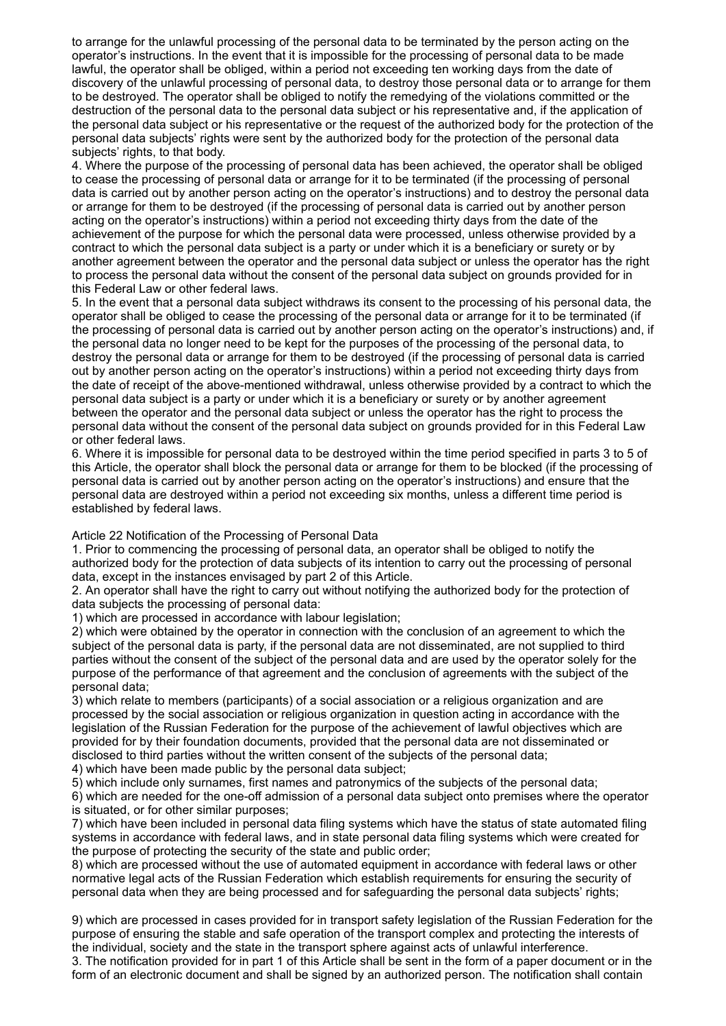to arrange for the unlawful processing of the personal data to be terminated by the person acting on the operator's instructions. In the event that it is impossible for the processing of personal data to be made lawful, the operator shall be obliged, within a period not exceeding ten working days from the date of discovery of the unlawful processing of personal data, to destroy those personal data or to arrange for them to be destroyed. The operator shall be obliged to notify the remedying of the violations committed or the destruction of the personal data to the personal data subject or his representative and, if the application of the personal data subject or his representative or the request of the authorized body for the protection of the personal data subjects' rights were sent by the authorized body for the protection of the personal data subjects' rights, to that body.

4. Where the purpose of the processing of personal data has been achieved, the operator shall be obliged to cease the processing of personal data or arrange for it to be terminated (if the processing of personal data is carried out by another person acting on the operator's instructions) and to destroy the personal data or arrange for them to be destroyed (if the processing of personal data is carried out by another person acting on the operator's instructions) within a period not exceeding thirty days from the date of the achievement of the purpose for which the personal data were processed, unless otherwise provided by a contract to which the personal data subject is a party or under which it is a beneficiary or surety or by another agreement between the operator and the personal data subject or unless the operator has the right to process the personal data without the consent of the personal data subject on grounds provided for in this Federal Law or other federal laws.

5. In the event that a personal data subject withdraws its consent to the processing of his personal data, the operator shall be obliged to cease the processing of the personal data or arrange for it to be terminated (if the processing of personal data is carried out by another person acting on the operator's instructions) and, if the personal data no longer need to be kept for the purposes of the processing of the personal data, to destroy the personal data or arrange for them to be destroyed (if the processing of personal data is carried out by another person acting on the operator's instructions) within a period not exceeding thirty days from the date of receipt of the above-mentioned withdrawal, unless otherwise provided by a contract to which the personal data subject is a party or under which it is a beneficiary or surety or by another agreement between the operator and the personal data subject or unless the operator has the right to process the personal data without the consent of the personal data subject on grounds provided for in this Federal Law or other federal laws.

6. Where it is impossible for personal data to be destroyed within the time period specified in parts 3 to 5 of this Article, the operator shall block the personal data or arrange for them to be blocked (if the processing of personal data is carried out by another person acting on the operator's instructions) and ensure that the personal data are destroyed within a period not exceeding six months, unless a different time period is established by federal laws.

Article 22 Notification of the Processing of Personal Data

1. Prior to commencing the processing of personal data, an operator shall be obliged to notify the authorized body for the protection of data subjects of its intention to carry out the processing of personal data, except in the instances envisaged by part 2 of this Article.

2. An operator shall have the right to carry out without notifying the authorized body for the protection of data subjects the processing of personal data:

1) which are processed in accordance with labour legislation;

2) which were obtained by the operator in connection with the conclusion of an agreement to which the subject of the personal data is party, if the personal data are not disseminated, are not supplied to third parties without the consent of the subject of the personal data and are used by the operator solely for the purpose of the performance of that agreement and the conclusion of agreements with the subject of the personal data;

3) which relate to members (participants) of a social association or a religious organization and are processed by the social association or religious organization in question acting in accordance with the legislation of the Russian Federation for the purpose of the achievement of lawful objectives which are provided for by their foundation documents, provided that the personal data are not disseminated or disclosed to third parties without the written consent of the subjects of the personal data;

4) which have been made public by the personal data subject;

5) which include only surnames, first names and patronymics of the subjects of the personal data;

6) which are needed for the one-off admission of a personal data subject onto premises where the operator is situated, or for other similar purposes;

7) which have been included in personal data filing systems which have the status of state automated filing systems in accordance with federal laws, and in state personal data filing systems which were created for the purpose of protecting the security of the state and public order;

8) which are processed without the use of automated equipment in accordance with federal laws or other normative legal acts of the Russian Federation which establish requirements for ensuring the security of personal data when they are being processed and for safeguarding the personal data subjects' rights;

9) which are processed in cases provided for in transport safety legislation of the Russian Federation for the purpose of ensuring the stable and safe operation of the transport complex and protecting the interests of the individual, society and the state in the transport sphere against acts of unlawful interference.

3. The notification provided for in part 1 of this Article shall be sent in the form of a paper document or in the form of an electronic document and shall be signed by an authorized person. The notification shall contain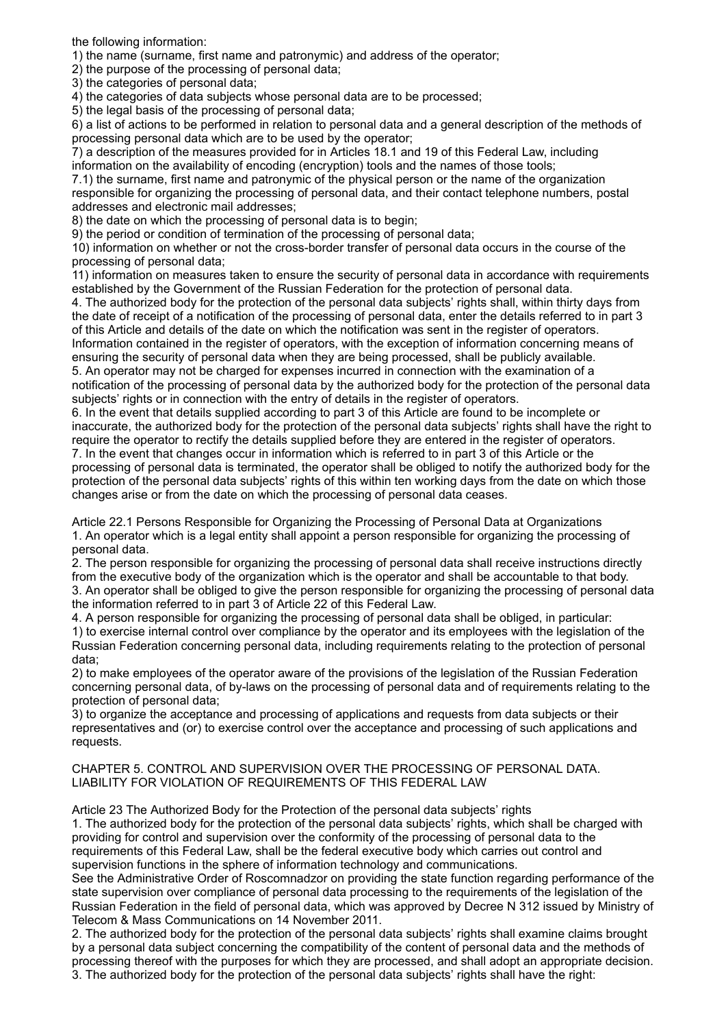the following information:

1) the name (surname, first name and patronymic) and address of the operator;

2) the purpose of the processing of personal data;

3) the categories of personal data;

4) the categories of data subjects whose personal data are to be processed;

5) the legal basis of the processing of personal data;

6) a list of actions to be performed in relation to personal data and a general description of the methods of processing personal data which are to be used by the operator;

7) a description of the measures provided for in Articles 18.1 and 19 of this Federal Law, including information on the availability of encoding (encryption) tools and the names of those tools;

7.1) the surname, first name and patronymic of the physical person or the name of the organization responsible for organizing the processing of personal data, and their contact telephone numbers, postal addresses and electronic mail addresses;

8) the date on which the processing of personal data is to begin;

9) the period or condition of termination of the processing of personal data;

10) information on whether or not the cross-border transfer of personal data occurs in the course of the processing of personal data;

11) information on measures taken to ensure the security of personal data in accordance with requirements established by the Government of the Russian Federation for the protection of personal data.

4. The authorized body for the protection of the personal data subjects' rights shall, within thirty days from the date of receipt of a notification of the processing of personal data, enter the details referred to in part 3 of this Article and details of the date on which the notification was sent in the register of operators. Information contained in the register of operators, with the exception of information concerning means of ensuring the security of personal data when they are being processed, shall be publicly available. 5. An operator may not be charged for expenses incurred in connection with the examination of a notification of the processing of personal data by the authorized body for the protection of the personal data subjects' rights or in connection with the entry of details in the register of operators.

6. In the event that details supplied according to part 3 of this Article are found to be incomplete or inaccurate, the authorized body for the protection of the personal data subjects' rights shall have the right to require the operator to rectify the details supplied before they are entered in the register of operators. 7. In the event that changes occur in information which is referred to in part 3 of this Article or the

processing of personal data is terminated, the operator shall be obliged to notify the authorized body for the protection of the personal data subjects' rights of this within ten working days from the date on which those changes arise or from the date on which the processing of personal data ceases.

Article 22.1 Persons Responsible for Organizing the Processing of Personal Data at Organizations 1. An operator which is a legal entity shall appoint a person responsible for organizing the processing of personal data.

2. The person responsible for organizing the processing of personal data shall receive instructions directly from the executive body of the organization which is the operator and shall be accountable to that body. 3. An operator shall be obliged to give the person responsible for organizing the processing of personal data the information referred to in part 3 of Article 22 of this Federal Law.

4. A person responsible for organizing the processing of personal data shall be obliged, in particular:

1) to exercise internal control over compliance by the operator and its employees with the legislation of the Russian Federation concerning personal data, including requirements relating to the protection of personal data;

2) to make employees of the operator aware of the provisions of the legislation of the Russian Federation concerning personal data, of by-laws on the processing of personal data and of requirements relating to the protection of personal data;

3) to organize the acceptance and processing of applications and requests from data subjects or their representatives and (or) to exercise control over the acceptance and processing of such applications and requests.

CHAPTER 5. CONTROL AND SUPERVISION OVER THE PROCESSING OF PERSONAL DATA. LIABILITY FOR VIOLATION OF REQUIREMENTS OF THIS FEDERAL LAW

Article 23 The Authorized Body for the Protection of the personal data subjects' rights

1. The authorized body for the protection of the personal data subjects' rights, which shall be charged with providing for control and supervision over the conformity of the processing of personal data to the requirements of this Federal Law, shall be the federal executive body which carries out control and supervision functions in the sphere of information technology and communications.

See the Administrative Order of Roscomnadzor on providing the state function regarding performance of the state supervision over compliance of personal data processing to the requirements of the legislation of the Russian Federation in the field of personal data, which was approved by Decree N 312 issued by Ministry of Telecom & Mass Communications on 14 November 2011.

2. The authorized body for the protection of the personal data subjects' rights shall examine claims brought by a personal data subject concerning the compatibility of the content of personal data and the methods of processing thereof with the purposes for which they are processed, and shall adopt an appropriate decision. 3. The authorized body for the protection of the personal data subjects' rights shall have the right: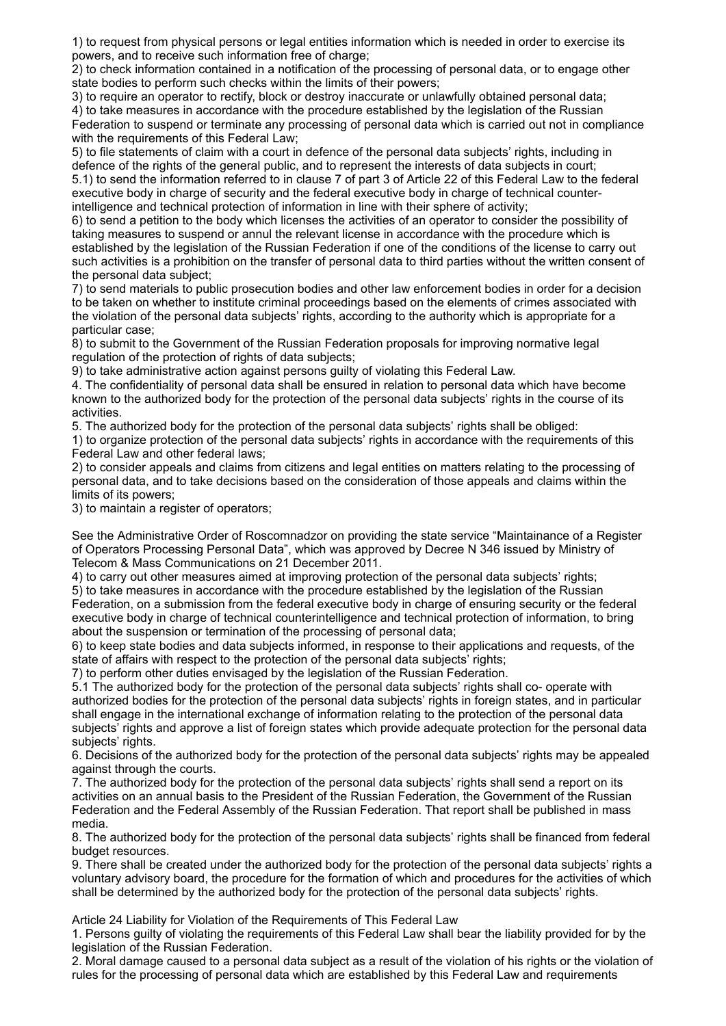1) to request from physical persons or legal entities information which is needed in order to exercise its powers, and to receive such information free of charge;

2) to check information contained in a notification of the processing of personal data, or to engage other state bodies to perform such checks within the limits of their powers;

3) to require an operator to rectify, block or destroy inaccurate or unlawfully obtained personal data; 4) to take measures in accordance with the procedure established by the legislation of the Russian Federation to suspend or terminate any processing of personal data which is carried out not in compliance with the requirements of this Federal Law;

5) to file statements of claim with a court in defence of the personal data subjects' rights, including in defence of the rights of the general public, and to represent the interests of data subjects in court; 5.1) to send the information referred to in clause 7 of part 3 of Article 22 of this Federal Law to the federal executive body in charge of security and the federal executive body in charge of technical counterintelligence and technical protection of information in line with their sphere of activity;

6) to send a petition to the body which licenses the activities of an operator to consider the possibility of taking measures to suspend or annul the relevant license in accordance with the procedure which is established by the legislation of the Russian Federation if one of the conditions of the license to carry out such activities is a prohibition on the transfer of personal data to third parties without the written consent of the personal data subject;

7) to send materials to public prosecution bodies and other law enforcement bodies in order for a decision to be taken on whether to institute criminal proceedings based on the elements of crimes associated with the violation of the personal data subjects' rights, according to the authority which is appropriate for a particular case;

8) to submit to the Government of the Russian Federation proposals for improving normative legal regulation of the protection of rights of data subjects;

9) to take administrative action against persons guilty of violating this Federal Law.

4. The confidentiality of personal data shall be ensured in relation to personal data which have become known to the authorized body for the protection of the personal data subjects' rights in the course of its activities.

5. The authorized body for the protection of the personal data subjects' rights shall be obliged:

1) to organize protection of the personal data subjects' rights in accordance with the requirements of this Federal Law and other federal laws;

2) to consider appeals and claims from citizens and legal entities on matters relating to the processing of personal data, and to take decisions based on the consideration of those appeals and claims within the limits of its powers;

3) to maintain a register of operators;

See the Administrative Order of Roscomnadzor on providing the state service "Maintainance of a Register of Operators Processing Personal Data", which was approved by Decree N 346 issued by Ministry of Telecom & Mass Communications on 21 December 2011.

4) to carry out other measures aimed at improving protection of the personal data subjects' rights;

5) to take measures in accordance with the procedure established by the legislation of the Russian Federation, on a submission from the federal executive body in charge of ensuring security or the federal executive body in charge of technical counterintelligence and technical protection of information, to bring about the suspension or termination of the processing of personal data;

6) to keep state bodies and data subjects informed, in response to their applications and requests, of the state of affairs with respect to the protection of the personal data subjects' rights;

7) to perform other duties envisaged by the legislation of the Russian Federation.

5.1 The authorized body for the protection of the personal data subjects' rights shall co- operate with authorized bodies for the protection of the personal data subjects' rights in foreign states, and in particular shall engage in the international exchange of information relating to the protection of the personal data subjects' rights and approve a list of foreign states which provide adequate protection for the personal data subjects' rights.

6. Decisions of the authorized body for the protection of the personal data subjects' rights may be appealed against through the courts.

7. The authorized body for the protection of the personal data subjects' rights shall send a report on its activities on an annual basis to the President of the Russian Federation, the Government of the Russian Federation and the Federal Assembly of the Russian Federation. That report shall be published in mass media.

8. The authorized body for the protection of the personal data subjects' rights shall be financed from federal budget resources.

9. There shall be created under the authorized body for the protection of the personal data subjects' rights a voluntary advisory board, the procedure for the formation of which and procedures for the activities of which shall be determined by the authorized body for the protection of the personal data subjects' rights.

Article 24 Liability for Violation of the Requirements of This Federal Law

1. Persons guilty of violating the requirements of this Federal Law shall bear the liability provided for by the legislation of the Russian Federation.

2. Moral damage caused to a personal data subject as a result of the violation of his rights or the violation of rules for the processing of personal data which are established by this Federal Law and requirements